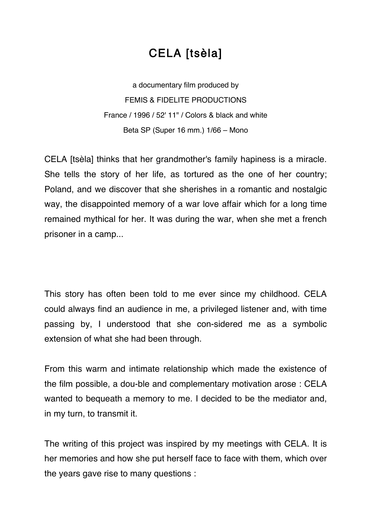## CELA [tsèla]

a documentary film produced by FEMIS & FIDELITE PRODUCTIONS France / 1996 / 52' 11" / Colors & black and white Beta SP (Super 16 mm.) 1/66 – Mono

CELA [tsèla] thinks that her grandmother's family hapiness is a miracle. She tells the story of her life, as tortured as the one of her country; Poland, and we discover that she sherishes in a romantic and nostalgic way, the disappointed memory of a war love affair which for a long time remained mythical for her. It was during the war, when she met a french prisoner in a camp...

This story has often been told to me ever since my childhood. CELA could always find an audience in me, a privileged listener and, with time passing by, I understood that she con-sidered me as a symbolic extension of what she had been through.

From this warm and intimate relationship which made the existence of the film possible, a dou-ble and complementary motivation arose : CELA wanted to bequeath a memory to me. I decided to be the mediator and, in my turn, to transmit it.

The writing of this project was inspired by my meetings with CELA. It is her memories and how she put herself face to face with them, which over the years gave rise to many questions :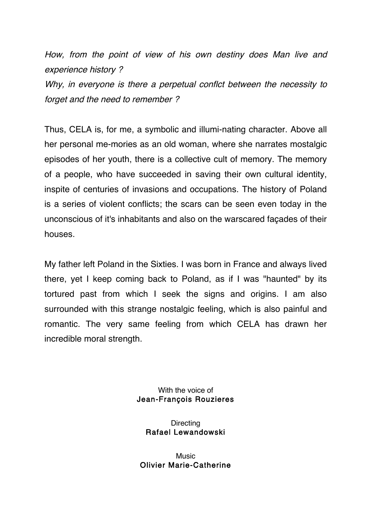How, from the point of view of his own destiny does Man live and experience history ?

Why, in everyone is there a perpetual conflct between the necessity to forget and the need to remember ?

Thus, CELA is, for me, a symbolic and illumi-nating character. Above all her personal me-mories as an old woman, where she narrates mostalgic episodes of her youth, there is a collective cult of memory. The memory of a people, who have succeeded in saving their own cultural identity, inspite of centuries of invasions and occupations. The history of Poland is a series of violent conflicts; the scars can be seen even today in the unconscious of it's inhabitants and also on the warscared façades of their houses.

My father left Poland in the Sixties. I was born in France and always lived there, yet I keep coming back to Poland, as if I was "haunted" by its tortured past from which I seek the signs and origins. I am also surrounded with this strange nostalgic feeling, which is also painful and romantic. The very same feeling from which CELA has drawn her incredible moral strength.

> With the voice of Jean-François Rouzieres

**Directing** Rafael Lewandowski

**Music** Olivier Marie-Catherine